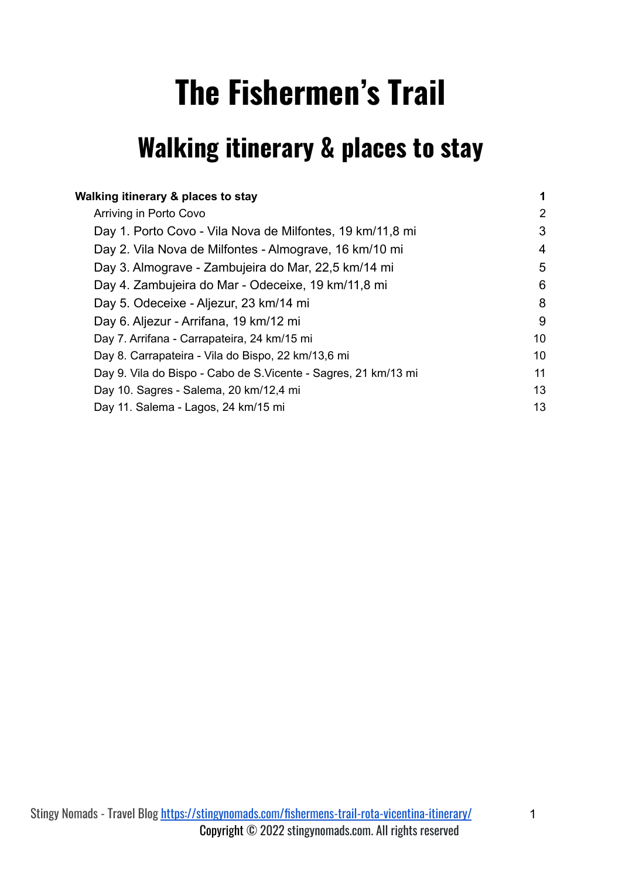# **The Fishermen's Trail**

# <span id="page-0-0"></span>**Walking itinerary & places to stay**

| Walking itinerary & places to stay                              | 1  |
|-----------------------------------------------------------------|----|
| Arriving in Porto Covo                                          | 2  |
| Day 1. Porto Covo - Vila Nova de Milfontes, 19 km/11,8 mi       | 3  |
| Day 2. Vila Nova de Milfontes - Almograve, 16 km/10 mi          | 4  |
| Day 3. Almograve - Zambujeira do Mar, 22,5 km/14 mi             | 5  |
| Day 4. Zambujeira do Mar - Odeceixe, 19 km/11,8 mi              | 6  |
| Day 5. Odeceixe - Aljezur, 23 km/14 mi                          | 8  |
| Day 6. Aljezur - Arrifana, 19 km/12 mi                          | 9  |
| Day 7. Arrifana - Carrapateira, 24 km/15 mi                     | 10 |
| Day 8. Carrapateira - Vila do Bispo, 22 km/13,6 mi              | 10 |
| Day 9. Vila do Bispo - Cabo de S. Vicente - Sagres, 21 km/13 mi | 11 |
| Day 10. Sagres - Salema, 20 km/12,4 mi                          | 13 |
| Day 11. Salema - Lagos, 24 km/15 mi                             | 13 |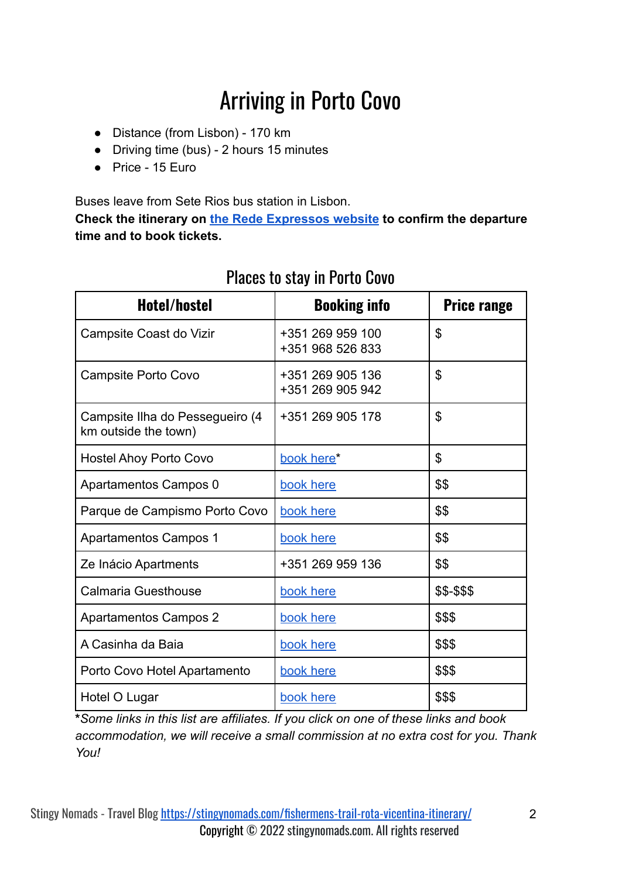# Arriving in Porto Covo

- <span id="page-1-0"></span>● Distance (from Lisbon) - 170 km
- Driving time (bus) 2 hours 15 minutes
- Price 15 Euro

Buses leave from Sete Rios bus station in Lisbon.

**Check the itinerary on [the Rede Expressos website](https://www.rede-expressos.pt/en) to confirm the departure time and to book tickets.**

| Hotel/hostel                                            | <b>Booking info</b>                  | <b>Price range</b> |
|---------------------------------------------------------|--------------------------------------|--------------------|
| Campsite Coast do Vizir                                 | +351 269 959 100<br>+351 968 526 833 | \$                 |
| Campsite Porto Covo                                     | +351 269 905 136<br>+351 269 905 942 | \$                 |
| Campsite Ilha do Pessegueiro (4<br>km outside the town) | +351 269 905 178                     | \$                 |
| <b>Hostel Ahoy Porto Covo</b>                           | book here*                           | \$                 |
| Apartamentos Campos 0                                   | book here                            | \$\$               |
| Parque de Campismo Porto Covo                           | book here                            | \$\$               |
| <b>Apartamentos Campos 1</b>                            | book here                            | \$\$               |
| Ze Inácio Apartments                                    | +351 269 959 136                     | \$\$               |
| <b>Calmaria Guesthouse</b>                              | book here                            | \$\$-\$\$\$        |
| <b>Apartamentos Campos 2</b>                            | book here                            | \$\$\$             |
| A Casinha da Baia                                       | book here                            | \$\$\$             |
| Porto Covo Hotel Apartamento                            | book here                            | \$\$\$             |
| Hotel O Lugar                                           | book here                            | \$\$\$             |

#### Places to stay in Porto Covo

**\****Some links in this list are affiliates. If you click on one of these links and book accommodation, we will receive a small commission at no extra cost for you. Thank You!*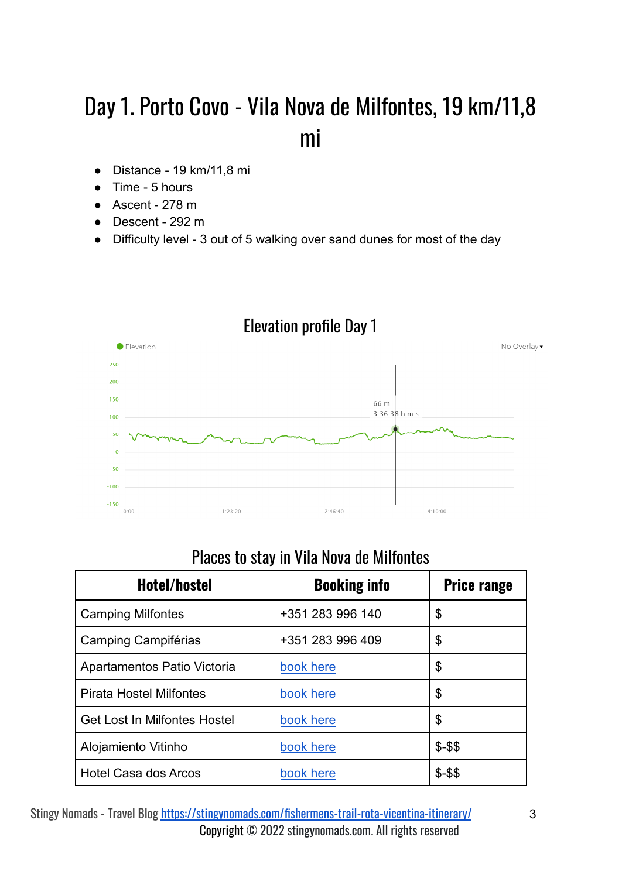# <span id="page-2-0"></span>Day 1. Porto Covo - Vila Nova de Milfontes, 19 km/11,8 mi

- Distance 19 km/11,8 mi
- Time 5 hours
- $\bullet$  Ascent 278 m
- Descent 292 m
- Difficulty level 3 out of 5 walking over sand dunes for most of the day



#### Elevation profile Day 1

#### Places to stay in Vila Nova de Milfontes

| Hotel/hostel                        | <b>Booking info</b> | <b>Price range</b> |
|-------------------------------------|---------------------|--------------------|
| <b>Camping Milfontes</b>            | +351 283 996 140    | \$                 |
| Camping Campiférias                 | +351 283 996 409    | \$                 |
| Apartamentos Patio Victoria         | book here           | \$                 |
| <b>Pirata Hostel Milfontes</b>      | book here           | \$                 |
| <b>Get Lost In Milfontes Hostel</b> | book here           | \$                 |
| Alojamiento Vitinho                 | book here           | $$ - $$            |
| Hotel Casa dos Arcos                | book here           | $$ - $$            |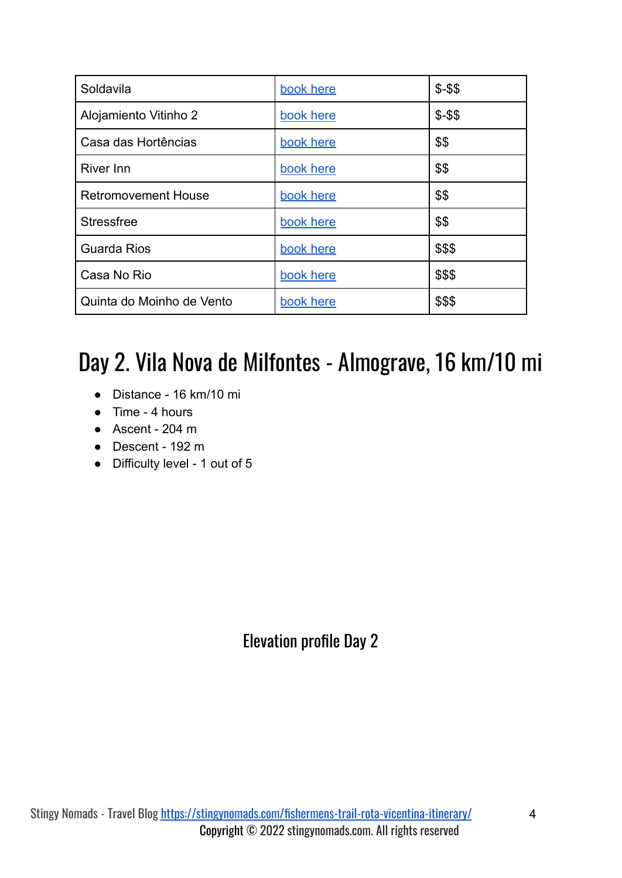| Soldavila                  | book here | $$ - $$ |
|----------------------------|-----------|---------|
| Alojamiento Vitinho 2      | book here | $$ - $$ |
| Casa das Hortências        | book here | \$\$    |
| <b>River Inn</b>           | book here | \$\$    |
| <b>Retromovement House</b> | book here | \$\$    |
| <b>Stressfree</b>          | book here | \$\$    |
| <b>Guarda Rios</b>         | book here | \$\$\$  |
| Casa No Rio                | book here | \$\$\$  |
| Quinta do Moinho de Vento  | book here | \$\$\$  |

# <span id="page-3-0"></span>Day 2. Vila Nova de Milfontes - Almograve, 16 km/10 mi

- Distance 16 km/10 mi
- Time 4 hours
- Ascent 204 m
- Descent 192 m
- Difficulty level 1 out of 5

Elevation profile Day 2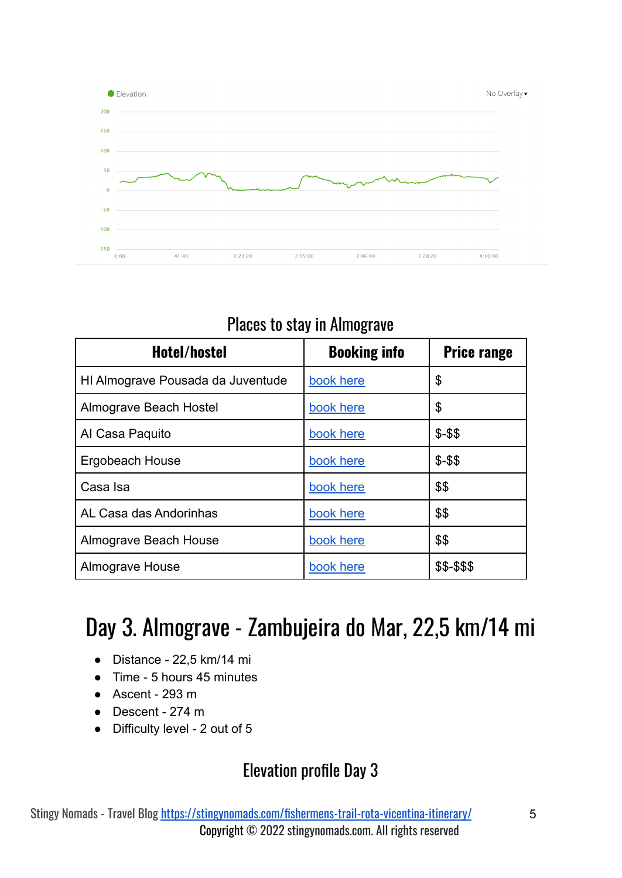

#### Places to stay in Almograve

| Hotel/hostel                      | <b>Booking info</b> | <b>Price range</b> |
|-----------------------------------|---------------------|--------------------|
| HI Almograve Pousada da Juventude | book here           | \$                 |
| Almograve Beach Hostel            | book here           | \$                 |
| Al Casa Paquito                   | book here           | $$ - $$            |
| Ergobeach House                   | book here           | $$ - $$            |
| Casa Isa                          | book here           | \$\$               |
| AL Casa das Andorinhas            | book here           | \$\$               |
| Almograve Beach House             | book here           | \$\$               |
| Almograve House                   | book here           | \$\$-\$\$\$        |

### <span id="page-4-0"></span>Day 3. Almograve - Zambujeira do Mar, 22,5 km/14 mi

- Distance 22,5 km/14 mi
- Time 5 hours 45 minutes
- $\bullet$  Ascent 293 m
- Descent 274 m
- Difficulty level 2 out of 5

#### Elevation profile Day 3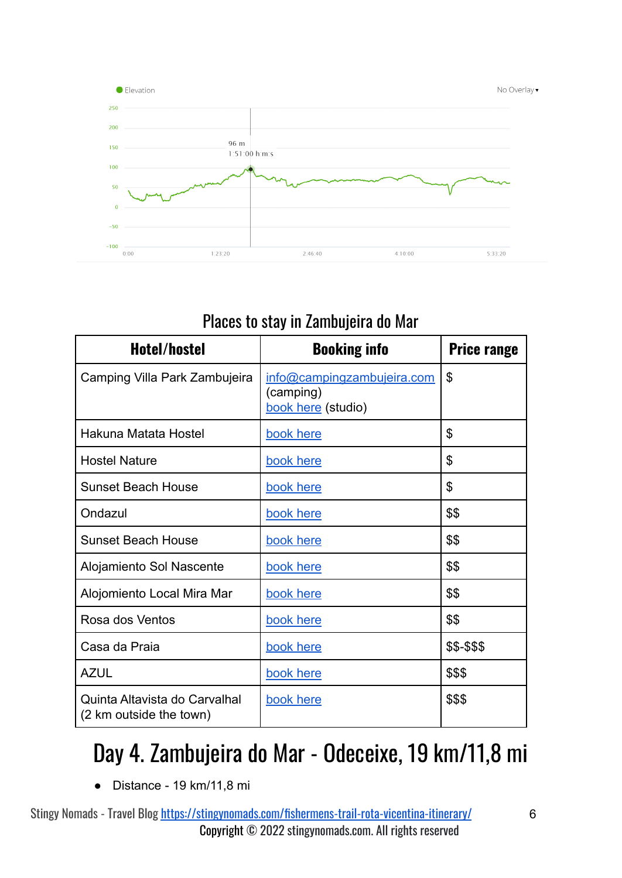

#### Places to stay in Zambujeira do Mar

| Hotel/hostel                                             | <b>Booking info</b>                                           | <b>Price range</b> |
|----------------------------------------------------------|---------------------------------------------------------------|--------------------|
| Camping Villa Park Zambujeira                            | info@campingzambujeira.com<br>(camping)<br>book here (studio) | $\mathfrak{S}$     |
| Hakuna Matata Hostel                                     | book here                                                     | \$                 |
| <b>Hostel Nature</b>                                     | book here                                                     | $\mathcal{L}$      |
| <b>Sunset Beach House</b>                                | book here                                                     | \$                 |
| Ondazul                                                  | book here                                                     | \$\$               |
| <b>Sunset Beach House</b>                                | book here                                                     | \$\$               |
| Alojamiento Sol Nascente                                 | book here                                                     | \$\$               |
| Alojomiento Local Mira Mar                               | book here                                                     | \$\$               |
| Rosa dos Ventos                                          | book here                                                     | \$\$               |
| Casa da Praia                                            | book here                                                     | \$\$-\$\$\$        |
| <b>AZUL</b>                                              | book here                                                     | \$\$\$             |
| Quinta Altavista do Carvalhal<br>(2 km outside the town) | book here                                                     | \$\$\$             |

# <span id="page-5-0"></span>Day 4. Zambujeira do Mar - Odeceixe, 19 km/11,8 mi

● Distance - 19 km/11,8 mi

Stingy Nomads - Travel Blog <https://stingynomads.com/fishermens-trail-rota-vicentina-itinerary/> 6 Copyright © 2022 stingynomads.com. All rights reserved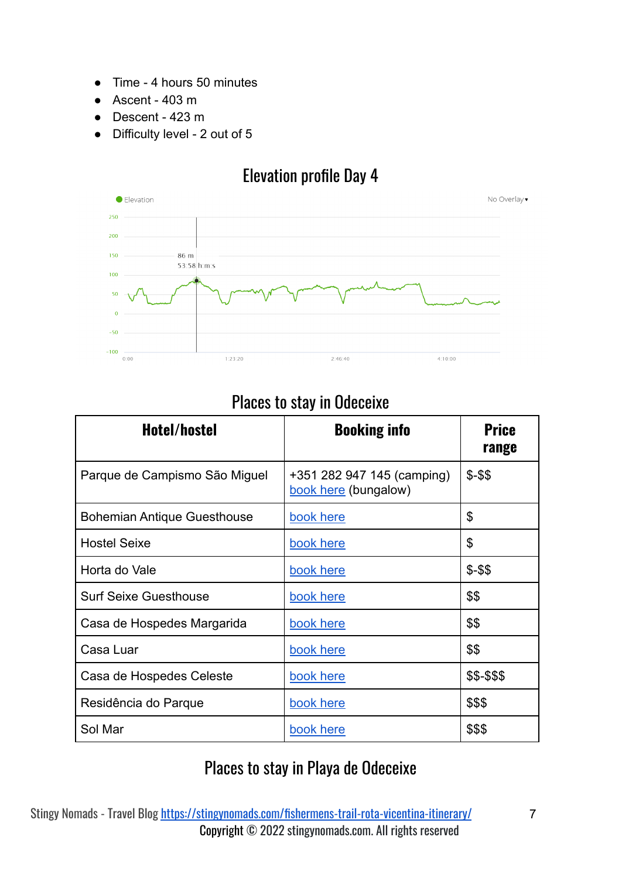- Time 4 hours 50 minutes
- $\bullet$  Ascent 403 m
- Descent 423 m
- Difficulty level 2 out of 5

#### Elevation profile Day 4



#### Places to stay in Odeceixe

| Hotel/hostel                       | <b>Booking info</b>                                | <b>Price</b><br>range |
|------------------------------------|----------------------------------------------------|-----------------------|
| Parque de Campismo São Miguel      | +351 282 947 145 (camping)<br>book here (bungalow) | $$ - $$               |
| <b>Bohemian Antique Guesthouse</b> | book here                                          | \$                    |
| <b>Hostel Seixe</b>                | book here                                          | \$                    |
| Horta do Vale                      | book here                                          | $$ - $$               |
| <b>Surf Seixe Guesthouse</b>       | book here                                          | \$\$                  |
| Casa de Hospedes Margarida         | book here                                          | \$\$                  |
| Casa Luar                          | book here                                          | \$\$                  |
| Casa de Hospedes Celeste           | book here                                          | \$\$-\$\$\$           |
| Residência do Parque               | book here                                          | \$\$\$                |
| Sol Mar                            | book here                                          | \$\$\$                |

#### Places to stay in Playa de Odeceixe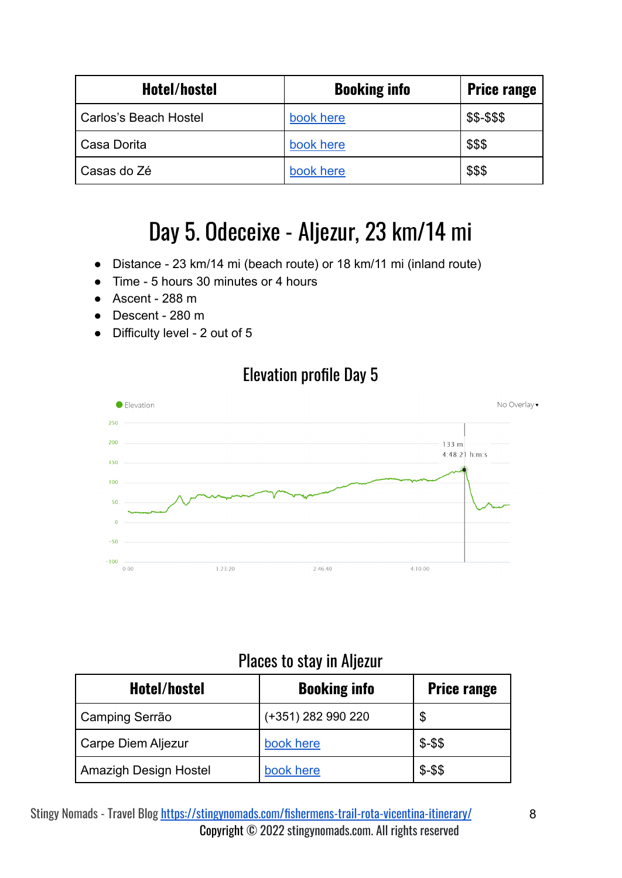| Hotel/hostel          | <b>Booking info</b> | <b>Price range</b> |
|-----------------------|---------------------|--------------------|
| Carlos's Beach Hostel | book here           | \$\$-\$\$\$        |
| Casa Dorita           | book here           | \$\$\$             |
| Casas do Zé           | book here           | \$\$\$             |

### Day 5. Odeceixe - Aljezur, 23 km/14 mi

- <span id="page-7-0"></span>● Distance - 23 km/14 mi (beach route) or 18 km/11 mi (inland route)
- Time 5 hours 30 minutes or 4 hours
- $\bullet$  Ascent 288 m
- Descent 280 m
- Difficulty level 2 out of 5



#### Elevation profile Day 5

#### Places to stay in Aljezur

| Hotel/hostel                 | <b>Booking info</b> | <b>Price range</b> |
|------------------------------|---------------------|--------------------|
| Camping Serrão               | (+351) 282 990 220  | \$                 |
| <b>Carpe Diem Aljezur</b>    | book here           | $$ - $$            |
| <b>Amazigh Design Hostel</b> | book here           | $$ - $$            |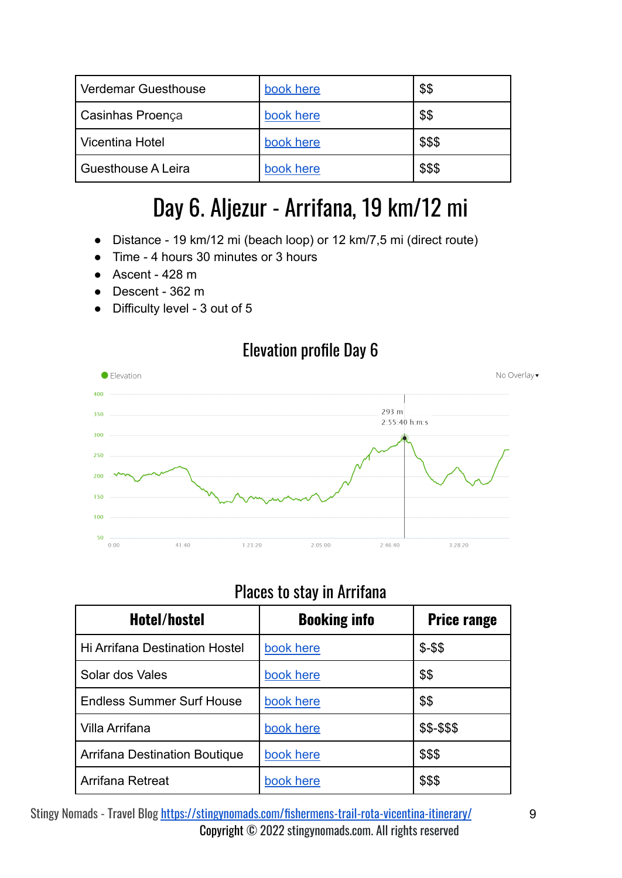| <b>Verdemar Guesthouse</b> | book here | \$\$   |
|----------------------------|-----------|--------|
| <b>Casinhas Proença</b>    | book here | \$\$   |
| Vicentina Hotel            | book here | \$\$\$ |
| Guesthouse A Leira         | book here | \$\$\$ |

### Day 6. Aljezur - Arrifana, 19 km/12 mi

- <span id="page-8-0"></span>● Distance - 19 km/12 mi (beach loop) or 12 km/7,5 mi (direct route)
- Time 4 hours 30 minutes or 3 hours
- $\bullet$  Ascent 428 m
- Descent 362 m
- Difficulty level 3 out of 5



#### Places to stay in Arrifana

| Hotel/hostel                          | <b>Booking info</b> | <b>Price range</b> |
|---------------------------------------|---------------------|--------------------|
| <b>Hi Arrifana Destination Hostel</b> | book here           | $$ - $$            |
| Solar dos Vales                       | book here           | \$\$               |
| <b>Endless Summer Surf House</b>      | book here           | \$\$               |
| Villa Arrifana                        | book here           | \$\$-\$\$\$        |
| Arrifana Destination Boutique         | book here           | \$\$\$             |
| Arrifana Retreat                      | book here           | \$\$\$             |

Stingy Nomads - Travel Blog <https://stingynomads.com/fishermens-trail-rota-vicentina-itinerary/> 9 Copyright © 2022 stingynomads.com. All rights reserved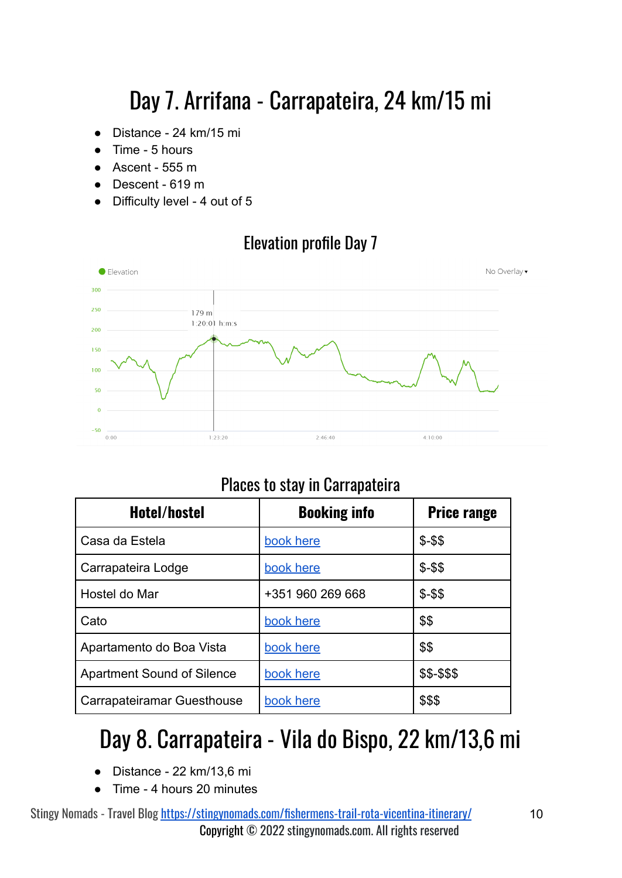# Day 7. Arrifana - Carrapateira, 24 km/15 mi

- <span id="page-9-0"></span>● Distance - 24 km/15 mi
- Time 5 hours
- $\bullet$  Ascent 555 m
- Descent 619 m
- Difficulty level 4 out of 5

#### Elevation profile Day 7



#### Places to stay in Carrapateira

| Hotel/hostel                      | <b>Booking info</b> | <b>Price range</b> |
|-----------------------------------|---------------------|--------------------|
| Casa da Estela                    | book here           | $$ - $$            |
| Carrapateira Lodge                | book here           | $$ - $$            |
| Hostel do Mar                     | +351 960 269 668    | $$ - $$            |
| Cato                              | book here           | \$\$               |
| Apartamento do Boa Vista          | book here           | \$\$               |
| <b>Apartment Sound of Silence</b> | book here           | \$\$-\$\$\$        |
| Carrapateiramar Guesthouse        | book here           | \$\$\$             |

### <span id="page-9-1"></span>Day 8. Carrapateira - Vila do Bispo, 22 km/13,6 mi

- Distance 22 km/13,6 mi
- Time 4 hours 20 minutes

Stingy Nomads - Travel Blog <https://stingynomads.com/fishermens-trail-rota-vicentina-itinerary/> 10 Copyright © 2022 stingynomads.com. All rights reserved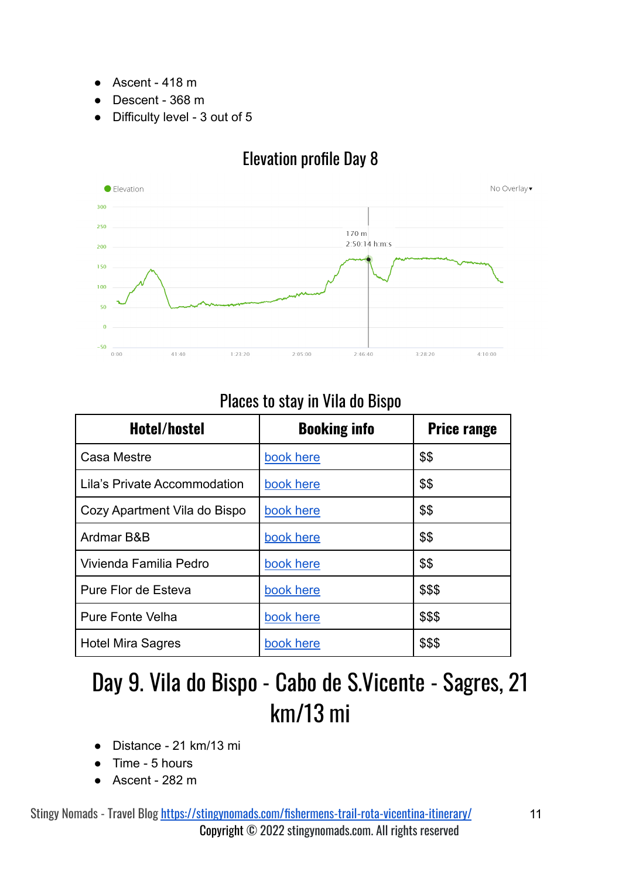- Ascent 418 m
- Descent 368 m
- Difficulty level 3 out of 5



#### Elevation profile Day 8

#### Places to stay in Vila do Bispo

| <b>Hotel/hostel</b>          | <b>Booking info</b> | <b>Price range</b> |
|------------------------------|---------------------|--------------------|
| Casa Mestre                  | book here           | \$\$               |
| Lila's Private Accommodation | book here           | \$\$               |
| Cozy Apartment Vila do Bispo | book here           | \$\$               |
| Ardmar B&B                   | book here           | \$\$               |
| Vivienda Familia Pedro       | book here           | \$\$               |
| Pure Flor de Esteva          | book here           | \$\$\$             |
| <b>Pure Fonte Velha</b>      | book here           | \$\$\$             |
| <b>Hotel Mira Sagres</b>     | book here           | \$\$\$             |

### <span id="page-10-0"></span>Day 9. Vila do Bispo - Cabo de S.Vicente - Sagres, 21 km/13 mi

- Distance 21 km/13 mi
- Time 5 hours
- Ascent 282 m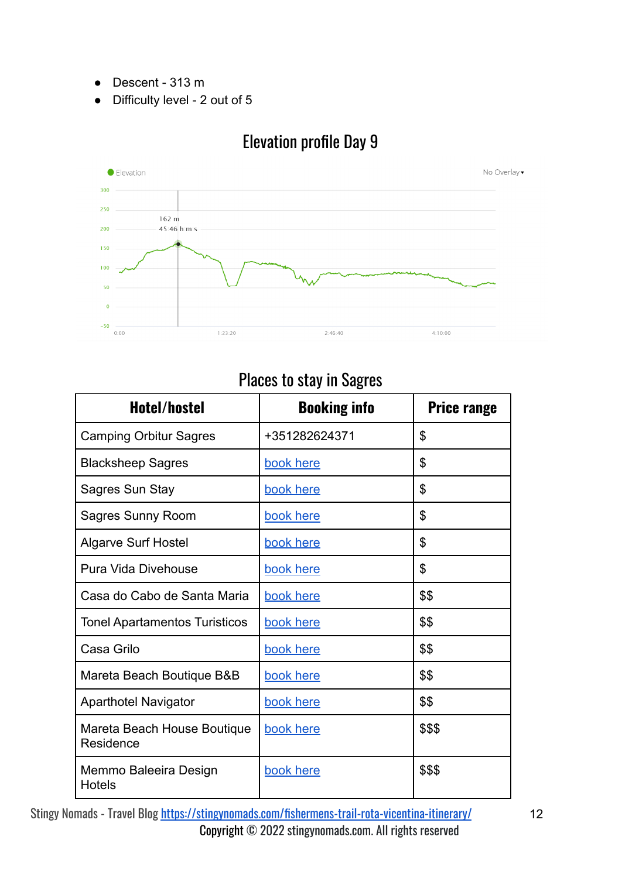- Descent 313 m
- Difficulty level 2 out of 5



#### Elevation profile Day 9

#### Places to stay in Sagres

| Hotel/hostel                             | <b>Booking info</b> | <b>Price range</b> |
|------------------------------------------|---------------------|--------------------|
| <b>Camping Orbitur Sagres</b>            | +351282624371       | \$                 |
| <b>Blacksheep Sagres</b>                 | book here           | \$                 |
| Sagres Sun Stay                          | book here           | \$                 |
| <b>Sagres Sunny Room</b>                 | book here           | \$                 |
| <b>Algarve Surf Hostel</b>               | book here           | \$                 |
| Pura Vida Divehouse                      | book here           | \$                 |
| Casa do Cabo de Santa Maria              | book here           | \$\$               |
| <b>Tonel Apartamentos Turisticos</b>     | book here           | \$\$               |
| Casa Grilo                               | book here           | \$\$               |
| Mareta Beach Boutique B&B                | book here           | \$\$               |
| <b>Aparthotel Navigator</b>              | book here           | \$\$               |
| Mareta Beach House Boutique<br>Residence | book here           | \$\$\$             |
| Memmo Baleeira Design<br><b>Hotels</b>   | book here           | \$\$\$             |

Stingy Nomads - Travel Blog <https://stingynomads.com/fishermens-trail-rota-vicentina-itinerary/> 12 Copyright © 2022 stingynomads.com. All rights reserved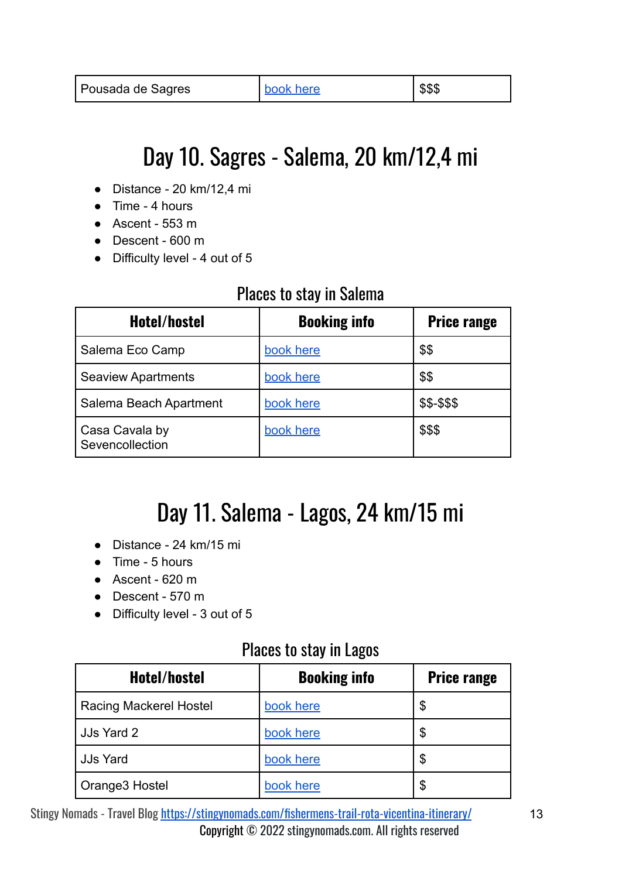### Day 10. Sagres - Salema, 20 km/12,4 mi

- <span id="page-12-0"></span>● Distance - 20 km/12,4 mi
- Time 4 hours
- $\bullet$  Ascent 553 m
- Descent 600 m
- Difficulty level 4 out of 5

#### Places to stay in Salema

| Hotel/hostel                      | <b>Booking info</b> | <b>Price range</b> |
|-----------------------------------|---------------------|--------------------|
| Salema Eco Camp                   | book here           | \$\$               |
| <b>Seaview Apartments</b>         | book here           | \$\$               |
| Salema Beach Apartment            | book here           | \$\$-\$\$\$        |
| Casa Cavala by<br>Sevencollection | book here           | \$\$\$             |

### Day 11. Salema - Lagos, 24 km/15 mi

- <span id="page-12-1"></span>● Distance - 24 km/15 mi
- Time 5 hours
- Ascent 620 m
- Descent 570 m
- Difficulty level 3 out of 5

#### Places to stay in Lagos

| Hotel/hostel                  | <b>Booking info</b> | <b>Price range</b> |
|-------------------------------|---------------------|--------------------|
| <b>Racing Mackerel Hostel</b> | book here           | \$                 |
| JJs Yard 2                    | book here           | \$                 |
| <b>JJs Yard</b>               | book here           | \$                 |
| Orange3 Hostel                | book here           | \$                 |